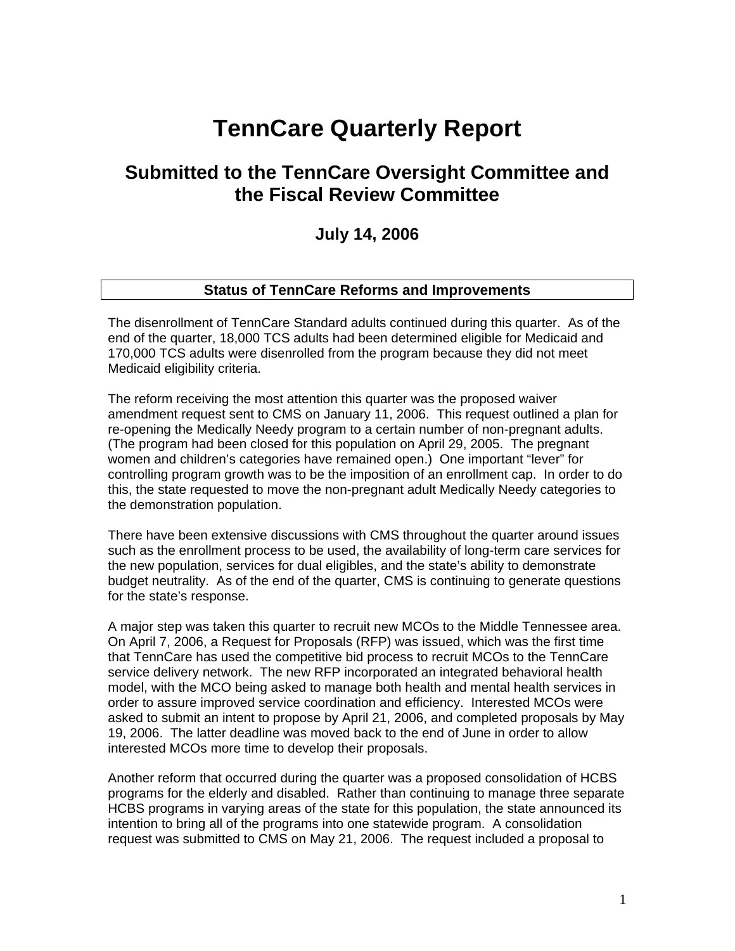# **TennCare Quarterly Report**

# **Submitted to the TennCare Oversight Committee and the Fiscal Review Committee**

# **July 14, 2006**

#### **Status of TennCare Reforms and Improvements**

The disenrollment of TennCare Standard adults continued during this quarter. As of the end of the quarter, 18,000 TCS adults had been determined eligible for Medicaid and 170,000 TCS adults were disenrolled from the program because they did not meet Medicaid eligibility criteria.

The reform receiving the most attention this quarter was the proposed waiver amendment request sent to CMS on January 11, 2006. This request outlined a plan for re-opening the Medically Needy program to a certain number of non-pregnant adults. (The program had been closed for this population on April 29, 2005. The pregnant women and children's categories have remained open.) One important "lever" for controlling program growth was to be the imposition of an enrollment cap. In order to do this, the state requested to move the non-pregnant adult Medically Needy categories to the demonstration population.

There have been extensive discussions with CMS throughout the quarter around issues such as the enrollment process to be used, the availability of long-term care services for the new population, services for dual eligibles, and the state's ability to demonstrate budget neutrality. As of the end of the quarter, CMS is continuing to generate questions for the state's response.

A major step was taken this quarter to recruit new MCOs to the Middle Tennessee area. On April 7, 2006, a Request for Proposals (RFP) was issued, which was the first time that TennCare has used the competitive bid process to recruit MCOs to the TennCare service delivery network. The new RFP incorporated an integrated behavioral health model, with the MCO being asked to manage both health and mental health services in order to assure improved service coordination and efficiency. Interested MCOs were asked to submit an intent to propose by April 21, 2006, and completed proposals by May 19, 2006. The latter deadline was moved back to the end of June in order to allow interested MCOs more time to develop their proposals.

Another reform that occurred during the quarter was a proposed consolidation of HCBS programs for the elderly and disabled. Rather than continuing to manage three separate HCBS programs in varying areas of the state for this population, the state announced its intention to bring all of the programs into one statewide program. A consolidation request was submitted to CMS on May 21, 2006. The request included a proposal to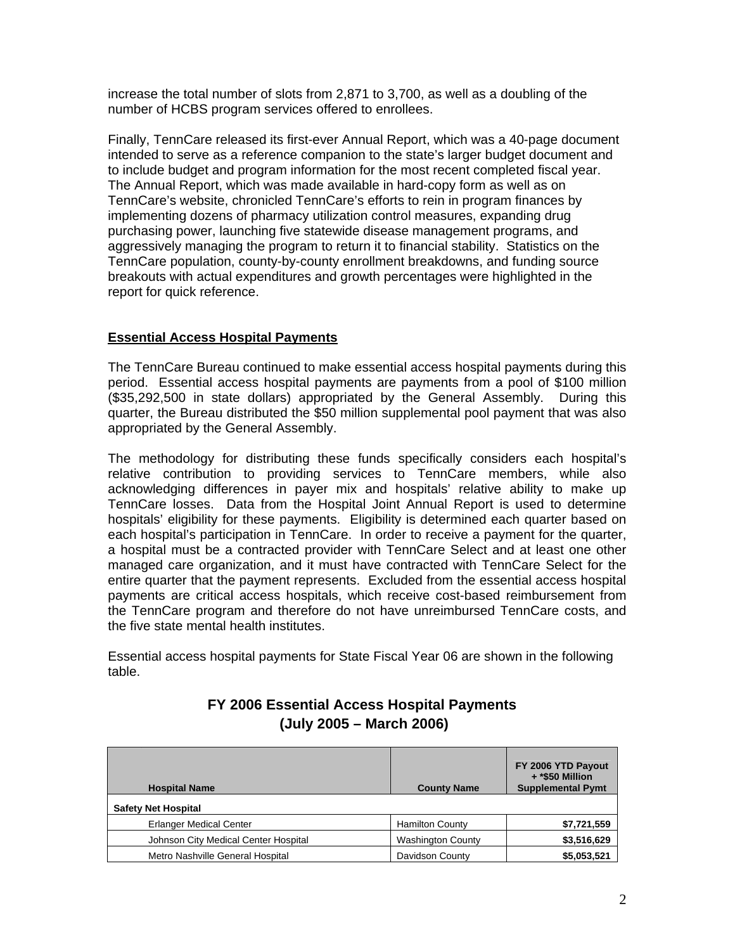increase the total number of slots from 2,871 to 3,700, as well as a doubling of the number of HCBS program services offered to enrollees.

Finally, TennCare released its first-ever Annual Report, which was a 40-page document intended to serve as a reference companion to the state's larger budget document and to include budget and program information for the most recent completed fiscal year. The Annual Report, which was made available in hard-copy form as well as on TennCare's website, chronicled TennCare's efforts to rein in program finances by implementing dozens of pharmacy utilization control measures, expanding drug purchasing power, launching five statewide disease management programs, and aggressively managing the program to return it to financial stability. Statistics on the TennCare population, county-by-county enrollment breakdowns, and funding source breakouts with actual expenditures and growth percentages were highlighted in the report for quick reference.

# **Essential Access Hospital Payments**

 The TennCare Bureau continued to make essential access hospital payments during this period. Essential access hospital payments are payments from a pool of \$100 million (\$35,292,500 in state dollars) appropriated by the General Assembly. During this quarter, the Bureau distributed the \$50 million supplemental pool payment that was also appropriated by the General Assembly.

The methodology for distributing these funds specifically considers each hospital's relative contribution to providing services to TennCare members, while also acknowledging differences in payer mix and hospitals' relative ability to make up TennCare losses. Data from the Hospital Joint Annual Report is used to determine hospitals' eligibility for these payments. Eligibility is determined each quarter based on each hospital's participation in TennCare. In order to receive a payment for the quarter, a hospital must be a contracted provider with TennCare Select and at least one other managed care organization, and it must have contracted with TennCare Select for the entire quarter that the payment represents. Excluded from the essential access hospital payments are critical access hospitals, which receive cost-based reimbursement from the TennCare program and therefore do not have unreimbursed TennCare costs, and the five state mental health institutes.

Essential access hospital payments for State Fiscal Year 06 are shown in the following table.

| <b>Hospital Name</b>                 | <b>County Name</b>       | FY 2006 YTD Payout<br>+ *\$50 Million<br><b>Supplemental Pymt</b> |
|--------------------------------------|--------------------------|-------------------------------------------------------------------|
| <b>Safety Net Hospital</b>           |                          |                                                                   |
| <b>Erlanger Medical Center</b>       | <b>Hamilton County</b>   | \$7,721,559                                                       |
| Johnson City Medical Center Hospital | <b>Washington County</b> | \$3,516,629                                                       |
| Metro Nashville General Hospital     | Davidson County          | \$5,053,521                                                       |

# **FY 2006 Essential Access Hospital Payments (July 2005 – March 2006)**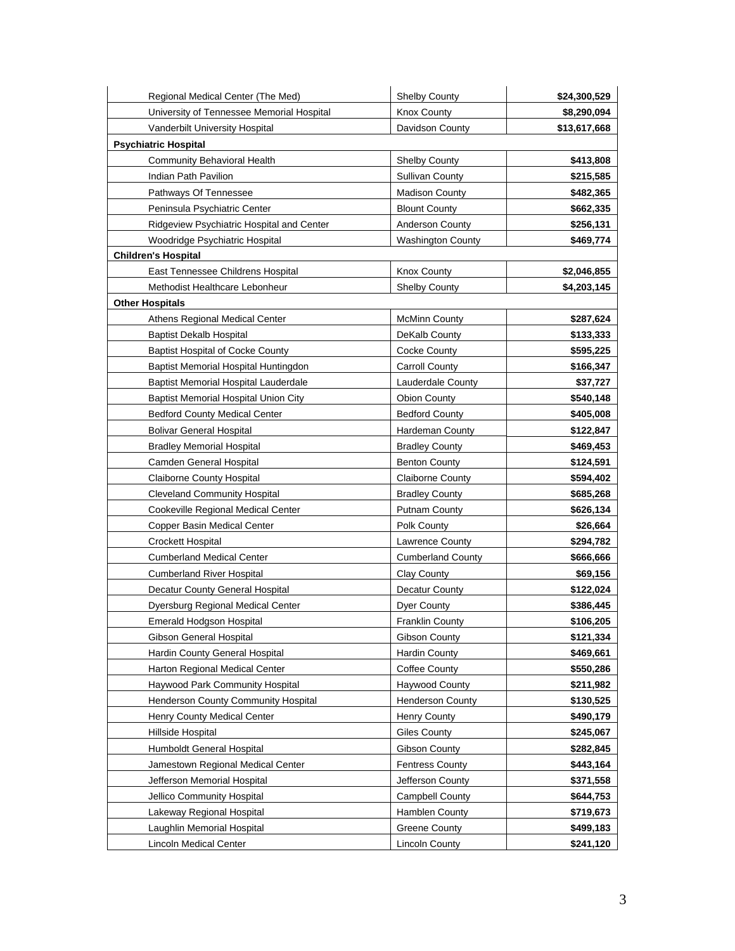| Regional Medical Center (The Med)           | <b>Shelby County</b>     | \$24,300,529 |
|---------------------------------------------|--------------------------|--------------|
| University of Tennessee Memorial Hospital   | <b>Knox County</b>       | \$8,290,094  |
| Vanderbilt University Hospital              | Davidson County          | \$13,617,668 |
| <b>Psychiatric Hospital</b>                 |                          |              |
| Community Behavioral Health                 | <b>Shelby County</b>     | \$413,808    |
| Indian Path Pavilion                        | <b>Sullivan County</b>   | \$215,585    |
| Pathways Of Tennessee                       | <b>Madison County</b>    | \$482,365    |
| Peninsula Psychiatric Center                | <b>Blount County</b>     | \$662,335    |
| Ridgeview Psychiatric Hospital and Center   | <b>Anderson County</b>   | \$256,131    |
| Woodridge Psychiatric Hospital              | <b>Washington County</b> | \$469,774    |
| <b>Children's Hospital</b>                  |                          |              |
| East Tennessee Childrens Hospital           | Knox County              | \$2,046,855  |
| Methodist Healthcare Lebonheur              | <b>Shelby County</b>     | \$4,203,145  |
| <b>Other Hospitals</b>                      |                          |              |
| Athens Regional Medical Center              | <b>McMinn County</b>     | \$287,624    |
| <b>Baptist Dekalb Hospital</b>              | DeKalb County            | \$133,333    |
| <b>Baptist Hospital of Cocke County</b>     | Cocke County             | \$595,225    |
| Baptist Memorial Hospital Huntingdon        | <b>Carroll County</b>    | \$166,347    |
| Baptist Memorial Hospital Lauderdale        | Lauderdale County        | \$37,727     |
| <b>Baptist Memorial Hospital Union City</b> | <b>Obion County</b>      | \$540,148    |
| <b>Bedford County Medical Center</b>        | <b>Bedford County</b>    | \$405,008    |
| <b>Bolivar General Hospital</b>             | Hardeman County          | \$122,847    |
| <b>Bradley Memorial Hospital</b>            | <b>Bradley County</b>    | \$469,453    |
| Camden General Hospital                     | Benton County            | \$124,591    |
| <b>Claiborne County Hospital</b>            | <b>Claiborne County</b>  | \$594,402    |
| <b>Cleveland Community Hospital</b>         | <b>Bradley County</b>    | \$685,268    |
| Cookeville Regional Medical Center          | Putnam County            | \$626,134    |
| Copper Basin Medical Center                 | Polk County              | \$26,664     |
| Crockett Hospital                           | Lawrence County          | \$294,782    |
| <b>Cumberland Medical Center</b>            | <b>Cumberland County</b> | \$666,666    |
| <b>Cumberland River Hospital</b>            | Clay County              | \$69,156     |
| Decatur County General Hospital             | Decatur County           | \$122,024    |
| Dyersburg Regional Medical Center           | <b>Dyer County</b>       | \$386,445    |
| Emerald Hodgson Hospital                    | <b>Franklin County</b>   | \$106,205    |
| <b>Gibson General Hospital</b>              | Gibson County            | \$121,334    |
| Hardin County General Hospital              | Hardin County            | \$469,661    |
| Harton Regional Medical Center              | <b>Coffee County</b>     | \$550,286    |
| Haywood Park Community Hospital             | <b>Haywood County</b>    | \$211,982    |
| Henderson County Community Hospital         | <b>Henderson County</b>  | \$130,525    |
| Henry County Medical Center                 | Henry County             | \$490,179    |
| Hillside Hospital                           | <b>Giles County</b>      | \$245,067    |
| Humboldt General Hospital                   | Gibson County            | \$282,845    |
| Jamestown Regional Medical Center           | <b>Fentress County</b>   | \$443,164    |
| Jefferson Memorial Hospital                 | Jefferson County         | \$371,558    |
| Jellico Community Hospital                  | <b>Campbell County</b>   | \$644,753    |
| Lakeway Regional Hospital                   | Hamblen County           | \$719,673    |
| Laughlin Memorial Hospital                  | <b>Greene County</b>     | \$499,183    |
| Lincoln Medical Center                      | <b>Lincoln County</b>    | \$241,120    |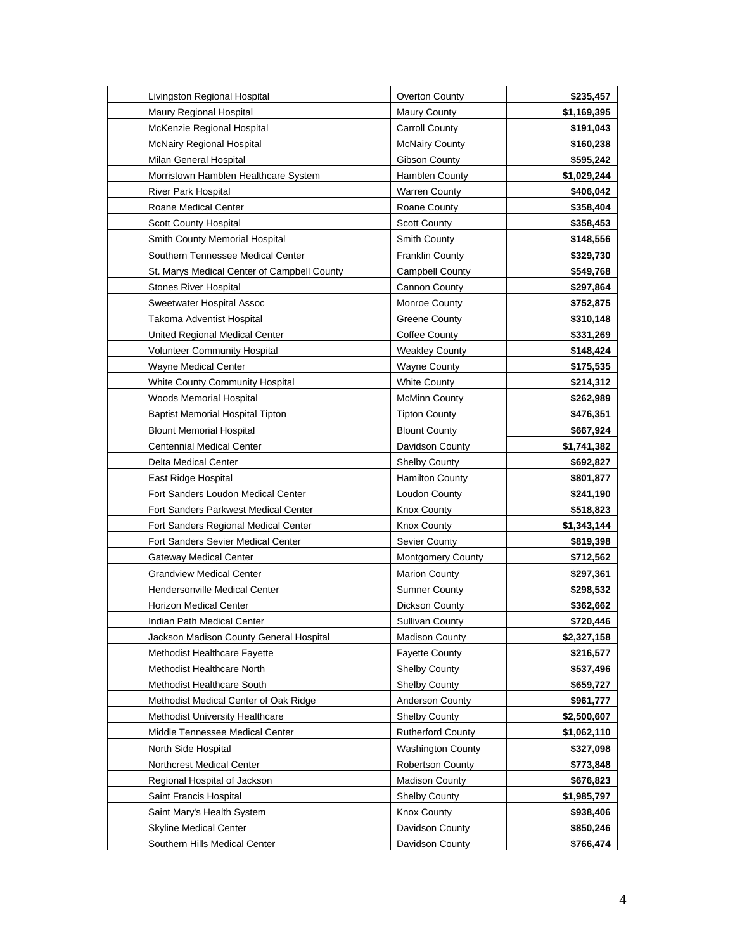| Livingston Regional Hospital                | Overton County           | \$235,457   |
|---------------------------------------------|--------------------------|-------------|
| Maury Regional Hospital                     | <b>Maury County</b>      | \$1,169,395 |
| McKenzie Regional Hospital                  | Carroll County           | \$191,043   |
| McNairy Regional Hospital                   | <b>McNairy County</b>    | \$160,238   |
| Milan General Hospital                      | Gibson County            | \$595,242   |
| Morristown Hamblen Healthcare System        | Hamblen County           | \$1,029,244 |
| River Park Hospital                         | <b>Warren County</b>     | \$406,042   |
| Roane Medical Center                        | Roane County             | \$358,404   |
| Scott County Hospital                       | <b>Scott County</b>      | \$358,453   |
| Smith County Memorial Hospital              | Smith County             | \$148,556   |
| Southern Tennessee Medical Center           | Franklin County          | \$329,730   |
| St. Marys Medical Center of Campbell County | <b>Campbell County</b>   | \$549,768   |
| <b>Stones River Hospital</b>                | <b>Cannon County</b>     | \$297,864   |
| Sweetwater Hospital Assoc                   | <b>Monroe County</b>     | \$752,875   |
| Takoma Adventist Hospital                   | <b>Greene County</b>     | \$310,148   |
| United Regional Medical Center              | <b>Coffee County</b>     | \$331,269   |
| <b>Volunteer Community Hospital</b>         | Weakley County           | \$148,424   |
| Wayne Medical Center                        | <b>Wayne County</b>      | \$175,535   |
| White County Community Hospital             | <b>White County</b>      | \$214,312   |
| <b>Woods Memorial Hospital</b>              | <b>McMinn County</b>     | \$262,989   |
| <b>Baptist Memorial Hospital Tipton</b>     | <b>Tipton County</b>     | \$476,351   |
| <b>Blount Memorial Hospital</b>             | <b>Blount County</b>     | \$667,924   |
| <b>Centennial Medical Center</b>            | Davidson County          | \$1,741,382 |
| Delta Medical Center                        | <b>Shelby County</b>     | \$692,827   |
| East Ridge Hospital                         | Hamilton County          | \$801,877   |
| Fort Sanders Loudon Medical Center          | Loudon County            | \$241,190   |
| Fort Sanders Parkwest Medical Center        | <b>Knox County</b>       | \$518,823   |
| Fort Sanders Regional Medical Center        | <b>Knox County</b>       | \$1,343,144 |
| Fort Sanders Sevier Medical Center          | <b>Sevier County</b>     | \$819,398   |
| <b>Gateway Medical Center</b>               | <b>Montgomery County</b> | \$712,562   |
| <b>Grandview Medical Center</b>             | <b>Marion County</b>     | \$297,361   |
| Hendersonville Medical Center               | <b>Sumner County</b>     | \$298,532   |
| <b>Horizon Medical Center</b>               | Dickson County           | \$362,662   |
| Indian Path Medical Center                  | Sullivan County          | \$720,446   |
| Jackson Madison County General Hospital     | <b>Madison County</b>    | \$2,327,158 |
| Methodist Healthcare Fayette                | <b>Fayette County</b>    | \$216,577   |
| Methodist Healthcare North                  | <b>Shelby County</b>     | \$537,496   |
| Methodist Healthcare South                  | <b>Shelby County</b>     | \$659,727   |
| Methodist Medical Center of Oak Ridge       | <b>Anderson County</b>   | \$961,777   |
| Methodist University Healthcare             | Shelby County            | \$2,500,607 |
| Middle Tennessee Medical Center             | <b>Rutherford County</b> | \$1,062,110 |
| North Side Hospital                         | <b>Washington County</b> | \$327,098   |
| Northcrest Medical Center                   | <b>Robertson County</b>  | \$773,848   |
| Regional Hospital of Jackson                | <b>Madison County</b>    | \$676,823   |
| Saint Francis Hospital                      | <b>Shelby County</b>     | \$1,985,797 |
| Saint Mary's Health System                  | <b>Knox County</b>       | \$938,406   |
| <b>Skyline Medical Center</b>               | Davidson County          | \$850,246   |
| Southern Hills Medical Center               | Davidson County          | \$766,474   |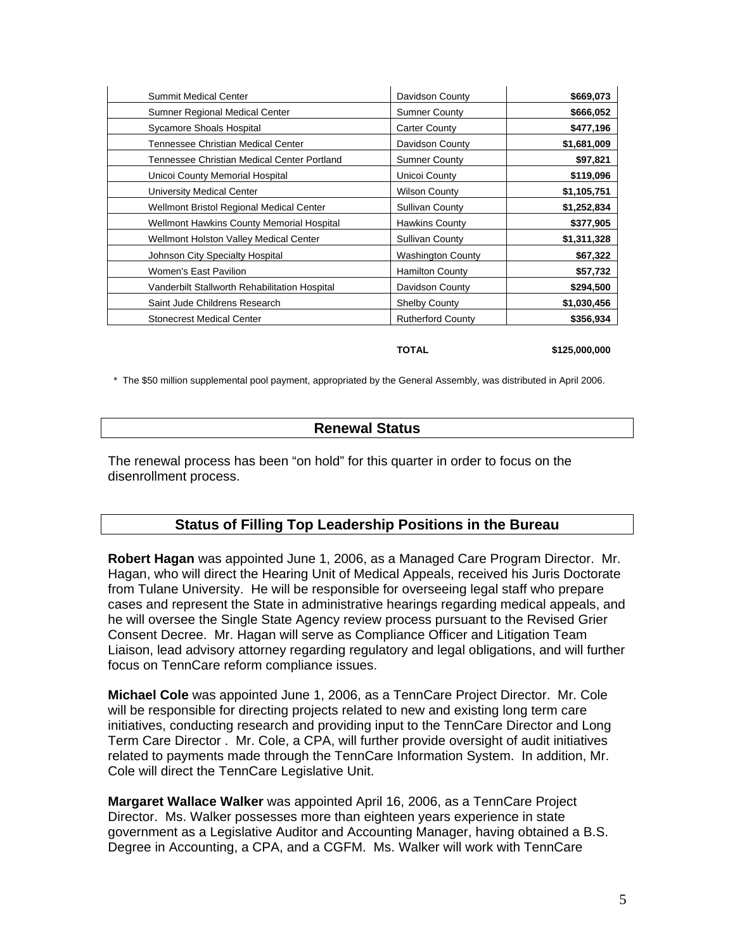| Summit Medical Center                            | Davidson County          | \$669,073   |
|--------------------------------------------------|--------------------------|-------------|
| Sumner Regional Medical Center                   | <b>Sumner County</b>     | \$666,052   |
| Sycamore Shoals Hospital                         | Carter County            | \$477,196   |
| Tennessee Christian Medical Center               | Davidson County          | \$1,681,009 |
| Tennessee Christian Medical Center Portland      | <b>Sumner County</b>     | \$97,821    |
| Unicoi County Memorial Hospital                  | Unicoi County            | \$119,096   |
| University Medical Center                        | <b>Wilson County</b>     | \$1,105,751 |
| Wellmont Bristol Regional Medical Center         | <b>Sullivan County</b>   | \$1,252,834 |
| <b>Wellmont Hawkins County Memorial Hospital</b> | <b>Hawkins County</b>    | \$377,905   |
| Wellmont Holston Valley Medical Center           | Sullivan County          | \$1,311,328 |
| Johnson City Specialty Hospital                  | <b>Washington County</b> | \$67,322    |
| Women's East Pavilion                            | <b>Hamilton County</b>   | \$57,732    |
| Vanderbilt Stallworth Rehabilitation Hospital    | Davidson County          | \$294,500   |
| Saint Jude Childrens Research                    | <b>Shelby County</b>     | \$1,030,456 |
| <b>Stonecrest Medical Center</b>                 | <b>Rutherford County</b> | \$356,934   |

**TOTAL \$125,000,000** 

\* The \$50 million supplemental pool payment, appropriated by the General Assembly, was distributed in April 2006.

## **Renewal Status**

The renewal process has been "on hold" for this quarter in order to focus on the disenrollment process.

# **Status of Filling Top Leadership Positions in the Bureau**

**Robert Hagan** was appointed June 1, 2006, as a Managed Care Program Director. Mr. Hagan, who will direct the Hearing Unit of Medical Appeals, received his Juris Doctorate from Tulane University. He will be responsible for overseeing legal staff who prepare cases and represent the State in administrative hearings regarding medical appeals, and he will oversee the Single State Agency review process pursuant to the Revised Grier Consent Decree. Mr. Hagan will serve as Compliance Officer and Litigation Team Liaison, lead advisory attorney regarding regulatory and legal obligations, and will further focus on TennCare reform compliance issues.

**Michael Cole** was appointed June 1, 2006, as a TennCare Project Director. Mr. Cole will be responsible for directing projects related to new and existing long term care initiatives, conducting research and providing input to the TennCare Director and Long Term Care Director . Mr. Cole, a CPA, will further provide oversight of audit initiatives related to payments made through the TennCare Information System. In addition, Mr. Cole will direct the TennCare Legislative Unit.

**Margaret Wallace Walker** was appointed April 16, 2006, as a TennCare Project Director. Ms. Walker possesses more than eighteen years experience in state government as a Legislative Auditor and Accounting Manager, having obtained a B.S. Degree in Accounting, a CPA, and a CGFM. Ms. Walker will work with TennCare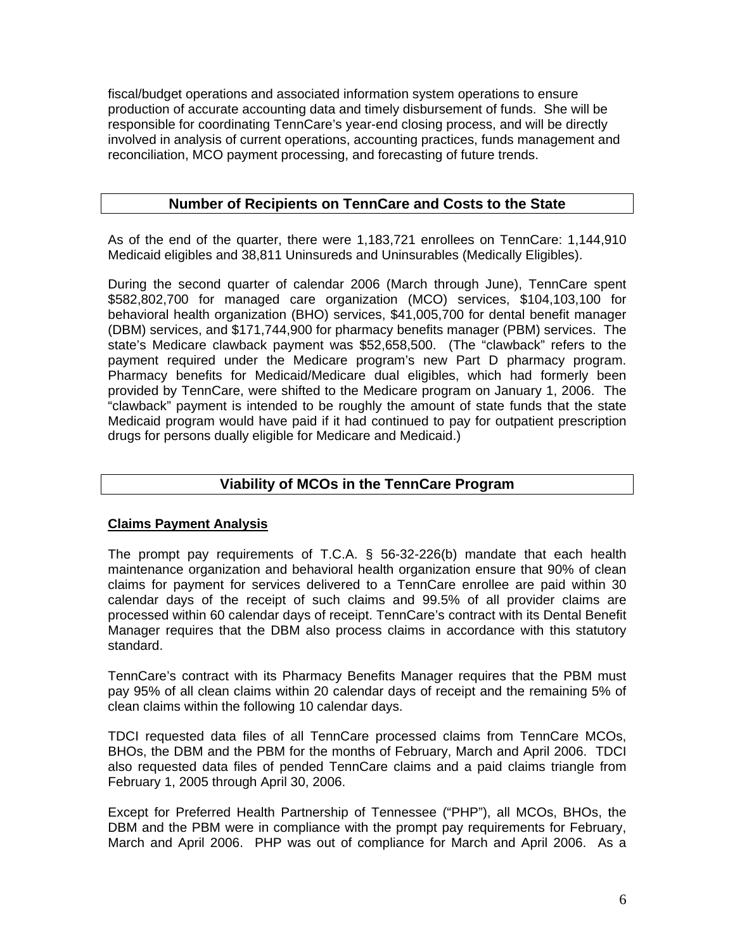fiscal/budget operations and associated information system operations to ensure production of accurate accounting data and timely disbursement of funds. She will be responsible for coordinating TennCare's year-end closing process, and will be directly involved in analysis of current operations, accounting practices, funds management and reconciliation, MCO payment processing, and forecasting of future trends.

# **Number of Recipients on TennCare and Costs to the State**

As of the end of the quarter, there were 1,183,721 enrollees on TennCare: 1,144,910 Medicaid eligibles and 38,811 Uninsureds and Uninsurables (Medically Eligibles).

During the second quarter of calendar 2006 (March through June), TennCare spent \$582,802,700 for managed care organization (MCO) services, \$104,103,100 for behavioral health organization (BHO) services, \$41,005,700 for dental benefit manager (DBM) services, and \$171,744,900 for pharmacy benefits manager (PBM) services. The state's Medicare clawback payment was \$52,658,500. (The "clawback" refers to the payment required under the Medicare program's new Part D pharmacy program. Pharmacy benefits for Medicaid/Medicare dual eligibles, which had formerly been provided by TennCare, were shifted to the Medicare program on January 1, 2006. The "clawback" payment is intended to be roughly the amount of state funds that the state Medicaid program would have paid if it had continued to pay for outpatient prescription drugs for persons dually eligible for Medicare and Medicaid.)

# **Viability of MCOs in the TennCare Program**

## **Claims Payment Analysis**

The prompt pay requirements of T.C.A. § 56-32-226(b) mandate that each health maintenance organization and behavioral health organization ensure that 90% of clean claims for payment for services delivered to a TennCare enrollee are paid within 30 calendar days of the receipt of such claims and 99.5% of all provider claims are processed within 60 calendar days of receipt. TennCare's contract with its Dental Benefit Manager requires that the DBM also process claims in accordance with this statutory standard.

TennCare's contract with its Pharmacy Benefits Manager requires that the PBM must pay 95% of all clean claims within 20 calendar days of receipt and the remaining 5% of clean claims within the following 10 calendar days.

TDCI requested data files of all TennCare processed claims from TennCare MCOs, BHOs, the DBM and the PBM for the months of February, March and April 2006. TDCI also requested data files of pended TennCare claims and a paid claims triangle from February 1, 2005 through April 30, 2006.

Except for Preferred Health Partnership of Tennessee ("PHP"), all MCOs, BHOs, the DBM and the PBM were in compliance with the prompt pay requirements for February, March and April 2006. PHP was out of compliance for March and April 2006. As a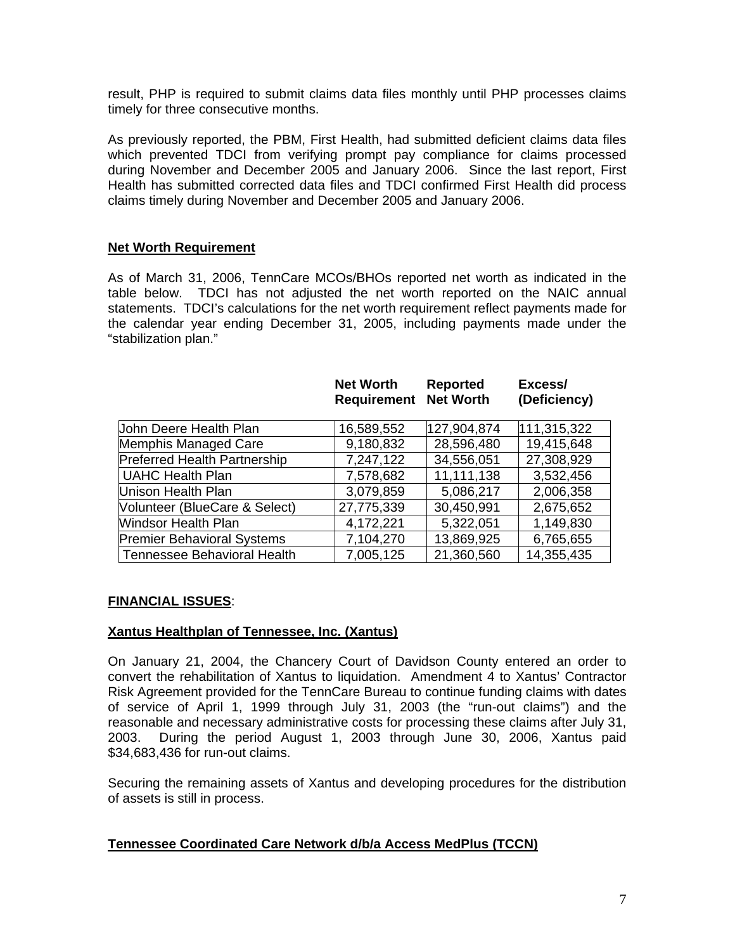result, PHP is required to submit claims data files monthly until PHP processes claims timely for three consecutive months.

As previously reported, the PBM, First Health, had submitted deficient claims data files which prevented TDCI from verifying prompt pay compliance for claims processed during November and December 2005 and January 2006. Since the last report, First Health has submitted corrected data files and TDCI confirmed First Health did process claims timely during November and December 2005 and January 2006.

## **Net Worth Requirement**

As of March 31, 2006, TennCare MCOs/BHOs reported net worth as indicated in the table below. TDCI has not adjusted the net worth reported on the NAIC annual statements. TDCI's calculations for the net worth requirement reflect payments made for the calendar year ending December 31, 2005, including payments made under the "stabilization plan."

|                                     | <b>Net Worth</b><br><b>Requirement Net Worth</b> | <b>Reported</b> | Excess/<br>(Deficiency) |
|-------------------------------------|--------------------------------------------------|-----------------|-------------------------|
| Uohn Deere Health Plan              | 16,589,552                                       | 127,904,874     | 111,315,322             |
| Memphis Managed Care                | 9,180,832                                        | 28,596,480      | 19,415,648              |
| <b>Preferred Health Partnership</b> | 7,247,122                                        | 34,556,051      | 27,308,929              |
| <b>UAHC Health Plan</b>             | 7,578,682                                        | 11,111,138      | 3,532,456               |
| Unison Health Plan                  | 3,079,859                                        | 5,086,217       | 2,006,358               |
| Volunteer (BlueCare & Select)       | 27,775,339                                       | 30,450,991      | 2,675,652               |
| Windsor Health Plan                 | 4,172,221                                        | 5,322,051       | 1,149,830               |
| <b>Premier Behavioral Systems</b>   | 7,104,270                                        | 13,869,925      | 6,765,655               |
| <b>Tennessee Behavioral Health</b>  | 7,005,125                                        | 21,360,560      | 14,355,435              |

## **FINANCIAL ISSUES**:

#### **Xantus Healthplan of Tennessee, Inc. (Xantus)**

On January 21, 2004, the Chancery Court of Davidson County entered an order to convert the rehabilitation of Xantus to liquidation. Amendment 4 to Xantus' Contractor Risk Agreement provided for the TennCare Bureau to continue funding claims with dates of service of April 1, 1999 through July 31, 2003 (the "run-out claims") and the reasonable and necessary administrative costs for processing these claims after July 31, 2003. During the period August 1, 2003 through June 30, 2006, Xantus paid \$34,683,436 for run-out claims.

Securing the remaining assets of Xantus and developing procedures for the distribution of assets is still in process.

#### **Tennessee Coordinated Care Network d/b/a Access MedPlus (TCCN)**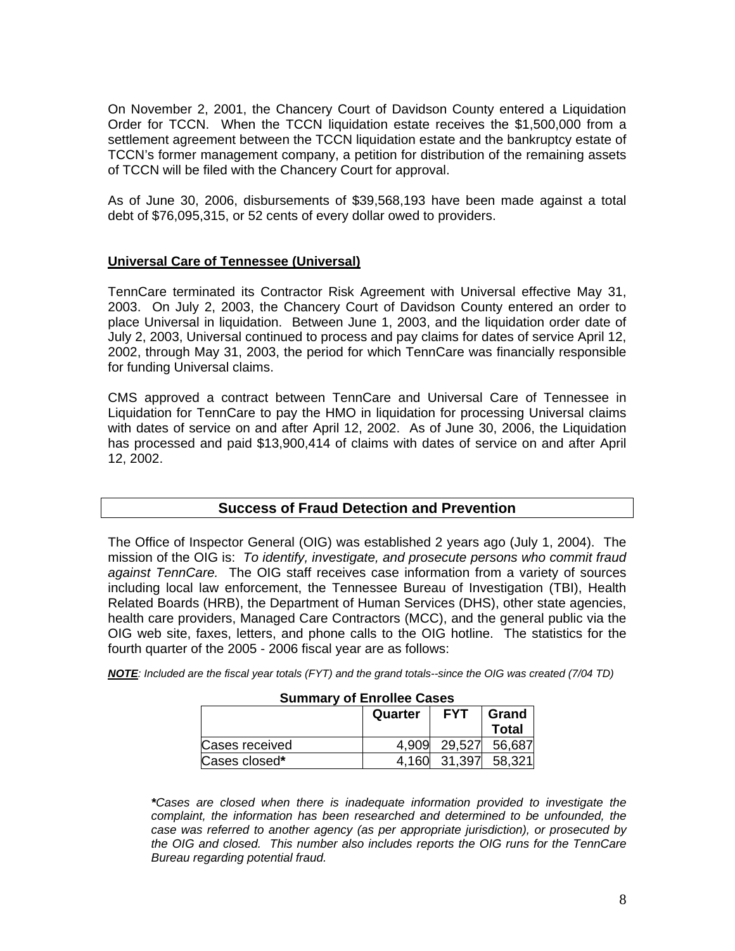On November 2, 2001, the Chancery Court of Davidson County entered a Liquidation Order for TCCN. When the TCCN liquidation estate receives the \$1,500,000 from a settlement agreement between the TCCN liquidation estate and the bankruptcy estate of TCCN's former management company, a petition for distribution of the remaining assets of TCCN will be filed with the Chancery Court for approval.

As of June 30, 2006, disbursements of \$39,568,193 have been made against a total debt of \$76,095,315, or 52 cents of every dollar owed to providers.

#### **Universal Care of Tennessee (Universal)**

TennCare terminated its Contractor Risk Agreement with Universal effective May 31, 2003. On July 2, 2003, the Chancery Court of Davidson County entered an order to place Universal in liquidation. Between June 1, 2003, and the liquidation order date of July 2, 2003, Universal continued to process and pay claims for dates of service April 12, 2002, through May 31, 2003, the period for which TennCare was financially responsible for funding Universal claims.

CMS approved a contract between TennCare and Universal Care of Tennessee in Liquidation for TennCare to pay the HMO in liquidation for processing Universal claims with dates of service on and after April 12, 2002. As of June 30, 2006, the Liquidation has processed and paid \$13,900,414 of claims with dates of service on and after April 12, 2002.

## **Success of Fraud Detection and Prevention**

The Office of Inspector General (OIG) was established 2 years ago (July 1, 2004). The mission of the OIG is: *To identify, investigate, and prosecute persons who commit fraud against TennCare.* The OIG staff receives case information from a variety of sources including local law enforcement, the Tennessee Bureau of Investigation (TBI), Health Related Boards (HRB), the Department of Human Services (DHS), other state agencies, health care providers, Managed Care Contractors (MCC), and the general public via the OIG web site, faxes, letters, and phone calls to the OIG hotline. The statistics for the fourth quarter of the 2005 - 2006 fiscal year are as follows:

*NOTE: Included are the fiscal year totals (FYT) and the grand totals--since the OIG was created (7/04 TD)* 

| <b>Summary of Enrollee Cases</b> |                                |        |              |  |
|----------------------------------|--------------------------------|--------|--------------|--|
|                                  | <b>FYT</b><br>Grand<br>Quarter |        |              |  |
|                                  |                                |        | <b>Total</b> |  |
| Cases received                   | 4.909                          | 29.527 | 56,687       |  |
| Cases closed*                    | 4.160                          | 31.397 | 58,321       |  |

*\*Cases are closed when there is inadequate information provided to investigate the complaint, the information has been researched and determined to be unfounded, the case was referred to another agency (as per appropriate jurisdiction), or prosecuted by the OIG and closed. This number also includes reports the OIG runs for the TennCare Bureau regarding potential fraud.*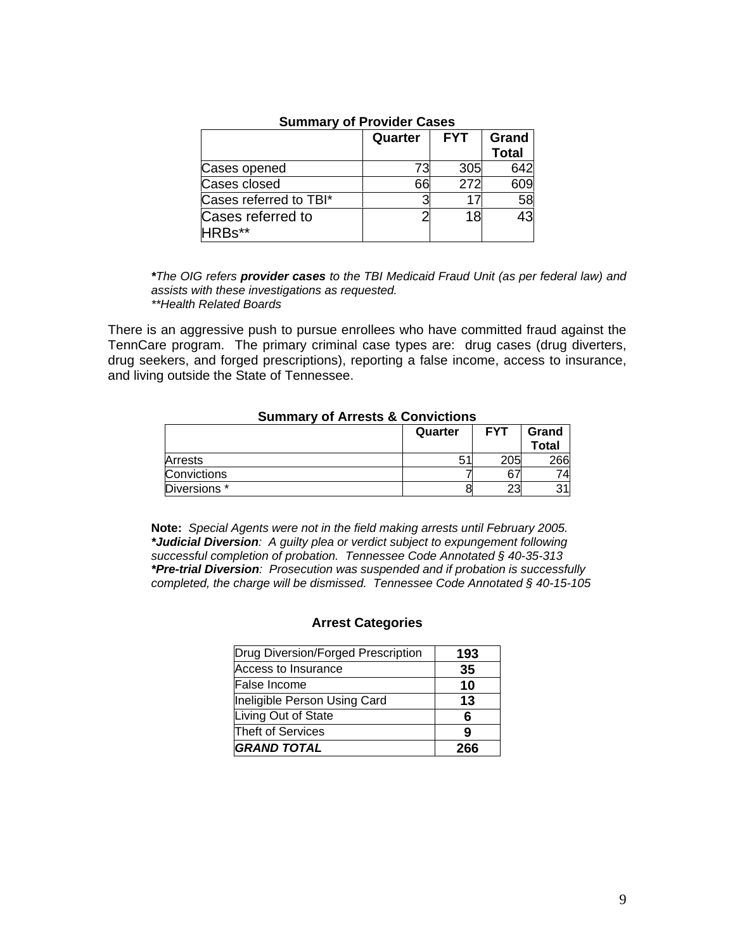|                                          | Quarter | <b>FYT</b> | Grand<br><b>Total</b> |
|------------------------------------------|---------|------------|-----------------------|
| Cases opened                             | 73      | 305        | 642                   |
| Cases closed                             | 66      | 272        | 609                   |
| Cases referred to TBI*                   |         |            | 58                    |
| Cases referred to<br>HRB <sub>s</sub> ** |         | 18         | 43                    |

## **Summary of Provider Cases**

*\*The OIG refers provider cases to the TBI Medicaid Fraud Unit (as per federal law) and assists with these investigations as requested. \*\*Health Related Boards* 

There is an aggressive push to pursue enrollees who have committed fraud against the TennCare program. The primary criminal case types are: drug cases (drug diverters, drug seekers, and forged prescriptions), reporting a false income, access to insurance, and living outside the State of Tennessee.

#### **Summary of Arrests & Convictions**

|              | Quarter | <b>FYT</b> | Grand<br>Total |
|--------------|---------|------------|----------------|
| Arrests      | s.      | 205        | 266            |
| Convictions  |         | 67         |                |
| Diversions * |         | つつ<br>دے   |                |

**Note:** *Special Agents were not in the field making arrests until February 2005. \*Judicial Diversion: A guilty plea or verdict subject to expungement following successful completion of probation. Tennessee Code Annotated § 40-35-313 \*Pre-trial Diversion: Prosecution was suspended and if probation is successfully completed, the charge will be dismissed. Tennessee Code Annotated § 40-15-105* 

## **Arrest Categories**

| Drug Diversion/Forged Prescription | 193 |
|------------------------------------|-----|
| Access to Insurance                | 35  |
| False Income                       | 10  |
| Ineligible Person Using Card       | 13  |
| Living Out of State                | 6   |
| Theft of Services                  | g   |
| <b>GRAND TOTAL</b>                 | 266 |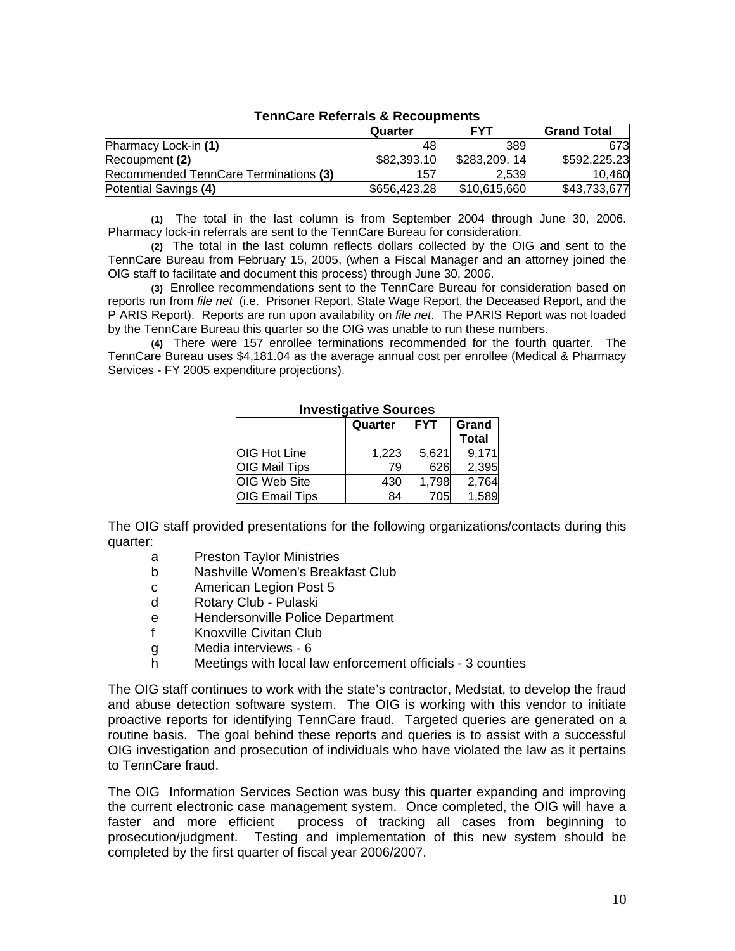| י טווווטעווט וועוט וועוט א די טאסוווט |              |                  |                    |
|---------------------------------------|--------------|------------------|--------------------|
|                                       | Quarter      | <b>FYT</b>       | <b>Grand Total</b> |
| <b>Pharmacy Lock-in (1)</b>           | 48           | 389              | 673                |
| Recoupment (2)                        | \$82,393.10  | \$283,209.<br>14 | \$592,225.23       |
| Recommended TennCare Terminations (3) | 157          | 2.539            | 10.460             |
| Potential Savings (4)                 | \$656,423.28 | \$10,615,660     | \$43,733,677       |

#### **TennCare Referrals & Recoupments**

**(1)** The total in the last column is from September 2004 through June 30, 2006. Pharmacy lock-in referrals are sent to the TennCare Bureau for consideration.

**(2)** The total in the last column reflects dollars collected by the OIG and sent to the TennCare Bureau from February 15, 2005, (when a Fiscal Manager and an attorney joined the OIG staff to facilitate and document this process) through June 30, 2006.

**(3)** Enrollee recommendations sent to the TennCare Bureau for consideration based on reports run from *file net* (i.e. Prisoner Report, State Wage Report, the Deceased Report, and the P ARIS Report). Reports are run upon availability on *file net*. The PARIS Report was not loaded by the TennCare Bureau this quarter so the OIG was unable to run these numbers.

**(4)** There were 157 enrollee terminations recommended for the fourth quarter. The TennCare Bureau uses \$4,181.04 as the average annual cost per enrollee (Medical & Pharmacy Services - FY 2005 expenditure projections).

|                       | Quarter | <b>FYT</b> | Grand        |
|-----------------------|---------|------------|--------------|
|                       |         |            | <b>Total</b> |
| <b>OIG Hot Line</b>   | 1,223   | 5,621      | 9.171        |
| <b>OIG Mail Tips</b>  | 79      | 626        | 2,395        |
| OIG Web Site          | 430     | 1,798      | 2,764        |
| <b>OIG Email Tips</b> | 84      | 705        | 1,589        |

#### **Investigative Sources**

The OIG staff provided presentations for the following organizations/contacts during this quarter:

- a Preston Taylor Ministries
- b Nashville Women's Breakfast Club
- c American Legion Post 5
- d Rotary Club Pulaski
- e Hendersonville Police Department
- f Knoxville Civitan Club
- g Media interviews 6
- h Meetings with local law enforcement officials 3 counties

The OIG staff continues to work with the state's contractor, Medstat, to develop the fraud and abuse detection software system. The OIG is working with this vendor to initiate proactive reports for identifying TennCare fraud. Targeted queries are generated on a routine basis. The goal behind these reports and queries is to assist with a successful OIG investigation and prosecution of individuals who have violated the law as it pertains to TennCare fraud.

The OIG Information Services Section was busy this quarter expanding and improving the current electronic case management system. Once completed, the OIG will have a faster and more efficient process of tracking all cases from beginning to prosecution/judgment. Testing and implementation of this new system should be completed by the first quarter of fiscal year 2006/2007.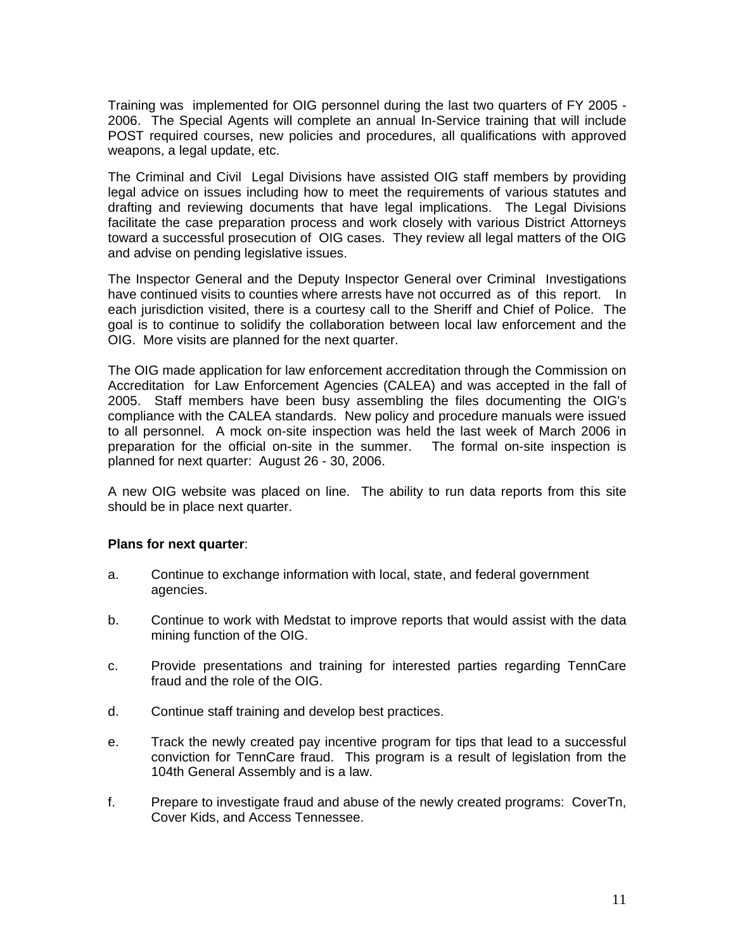Training was implemented for OIG personnel during the last two quarters of FY 2005 - 2006. The Special Agents will complete an annual In-Service training that will include POST required courses, new policies and procedures, all qualifications with approved weapons, a legal update, etc.

The Criminal and Civil Legal Divisions have assisted OIG staff members by providing legal advice on issues including how to meet the requirements of various statutes and drafting and reviewing documents that have legal implications. The Legal Divisions facilitate the case preparation process and work closely with various District Attorneys toward a successful prosecution of OIG cases. They review all legal matters of the OIG and advise on pending legislative issues.

The Inspector General and the Deputy Inspector General over Criminal Investigations have continued visits to counties where arrests have not occurred as of this report. In each jurisdiction visited, there is a courtesy call to the Sheriff and Chief of Police. The goal is to continue to solidify the collaboration between local law enforcement and the OIG. More visits are planned for the next quarter.

The OIG made application for law enforcement accreditation through the Commission on Accreditation for Law Enforcement Agencies (CALEA) and was accepted in the fall of 2005. Staff members have been busy assembling the files documenting the OIG's compliance with the CALEA standards. New policy and procedure manuals were issued to all personnel. A mock on-site inspection was held the last week of March 2006 in preparation for the official on-site in the summer. The formal on-site inspection is planned for next quarter: August 26 - 30, 2006.

A new OIG website was placed on line. The ability to run data reports from this site should be in place next quarter.

#### **Plans for next quarter**:

- a. Continue to exchange information with local, state, and federal government agencies.
- b. Continue to work with Medstat to improve reports that would assist with the data mining function of the OIG.
- c. Provide presentations and training for interested parties regarding TennCare fraud and the role of the OIG.
- d. Continue staff training and develop best practices.
- e. Track the newly created pay incentive program for tips that lead to a successful conviction for TennCare fraud. This program is a result of legislation from the 104th General Assembly and is a law.
- f. Prepare to investigate fraud and abuse of the newly created programs: CoverTn, Cover Kids, and Access Tennessee.